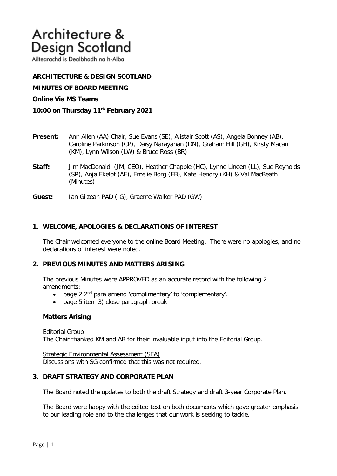# Architecture & **Design Scotland**

Ailtearachd is Dealbhadh na h-Alba

# **ARCHITECTURE & DESIGN SCOTLAND**

**MINUTES OF BOARD MEETING** 

#### **Online Via MS Teams**

- **10:00 on Thursday 11th February 2021**
- **Present:** Ann Allen (AA) Chair, Sue Evans (SE), Alistair Scott (AS), Angela Bonney (AB), Caroline Parkinson (CP), Daisy Narayanan (DN), Graham Hill (GH), Kirsty Macari (KM), Lynn Wilson (LW) & Bruce Ross (BR)
- **Staff:** Jim MacDonald, (JM, CEO), Heather Chapple (HC), Lynne Lineen (LL), Sue Reynolds (SR), Anja Ekelof (AE), Emelie Borg (EB), Kate Hendry (KH) & Val MacBeath (Minutes)
- **Guest:** Ian Gilzean PAD (IG), Graeme Walker PAD (GW)

## **1. WELCOME, APOLOGIES & DECLARATIONS OF INTEREST**

The Chair welcomed everyone to the online Board Meeting. There were no apologies, and no declarations of interest were noted.

#### **2. PREVIOUS MINUTES AND MATTERS ARISING**

The previous Minutes were APPROVED as an accurate record with the following 2 amendments:

- page 2 2<sup>nd</sup> para amend 'complimentary' to 'complementary'.
- page 5 item 3) close paragraph break

#### **Matters Arising**

Editorial Group

The Chair thanked KM and AB for their invaluable input into the Editorial Group.

Strategic Environmental Assessment (SEA) Discussions with SG confirmed that this was not required.

## **3. DRAFT STRATEGY AND CORPORATE PLAN**

The Board noted the updates to both the draft Strategy and draft 3-year Corporate Plan.

The Board were happy with the edited text on both documents which gave greater emphasis to our leading role and to the challenges that our work is seeking to tackle.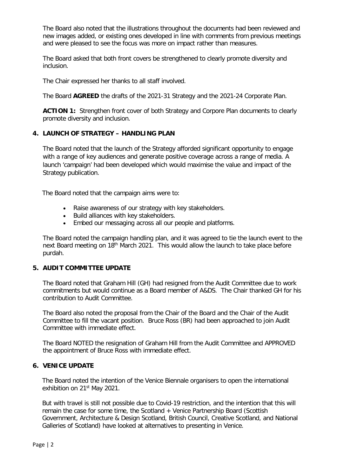The Board also noted that the illustrations throughout the documents had been reviewed and new images added, or existing ones developed in line with comments from previous meetings and were pleased to see the focus was more on impact rather than measures.

The Board asked that both front covers be strengthened to clearly promote diversity and inclusion.

The Chair expressed her thanks to all staff involved.

The Board **AGREED** the drafts of the 2021-31 Strategy and the 2021-24 Corporate Plan.

**ACTION 1:** Strengthen front cover of both Strategy and Corpore Plan documents to clearly promote diversity and inclusion.

# **4. LAUNCH OF STRATEGY – HANDLING PLAN**

The Board noted that the launch of the Strategy afforded significant opportunity to engage with a range of key audiences and generate positive coverage across a range of media. A launch 'campaign' had been developed which would maximise the value and impact of the Strategy publication.

The Board noted that the campaign aims were to:

- Raise awareness of our strategy with key stakeholders.
- Build alliances with key stakeholders.
- Embed our messaging across all our people and platforms.

The Board noted the campaign handling plan, and it was agreed to tie the launch event to the next Board meeting on 18<sup>th</sup> March 2021. This would allow the launch to take place before purdah.

## **5. AUDIT COMMITTEE UPDATE**

The Board noted that Graham Hill (GH) had resigned from the Audit Committee due to work commitments but would continue as a Board member of A&DS. The Chair thanked GH for his contribution to Audit Committee.

The Board also noted the proposal from the Chair of the Board and the Chair of the Audit Committee to fill the vacant position. Bruce Ross (BR) had been approached to join Audit Committee with immediate effect.

The Board NOTED the resignation of Graham Hill from the Audit Committee and APPROVED the appointment of Bruce Ross with immediate effect.

# **6. VENICE UPDATE**

The Board noted the intention of the Venice Biennale organisers to open the international exhibition on 21<sup>st</sup> May 2021.

But with travel is still not possible due to Covid-19 restriction, and the intention that this will remain the case for some time, the Scotland + Venice Partnership Board (Scottish Government, Architecture & Design Scotland, British Council, Creative Scotland, and National Galleries of Scotland) have looked at alternatives to presenting in Venice.